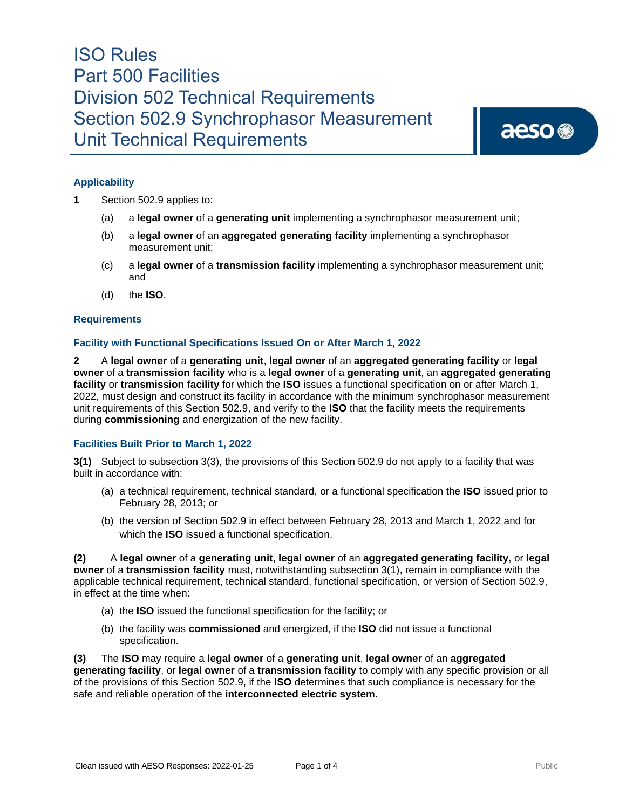aeso<sup>®</sup>

### **Applicability**

- **1** Section 502.9 applies to:
	- (a) a **legal owner** of a **generating unit** implementing a synchrophasor measurement unit;
	- (b) a **legal owner** of an **aggregated generating facility** implementing a synchrophasor measurement unit;
	- (c) a **legal owner** of a **transmission facility** implementing a synchrophasor measurement unit; and
	- (d) the **ISO**.

#### **Requirements**

### **Facility with Functional Specifications Issued On or After March 1, 2022**

**2** A **legal owner** of a **generating unit**, **legal owner** of an **aggregated generating facility** or **legal owner** of a **transmission facility** who is a **legal owner** of a **generating unit**, an **aggregated generating facility** or **transmission facility** for which the **ISO** issues a functional specification on or after March 1, 2022, must design and construct its facility in accordance with the minimum synchrophasor measurement unit requirements of this Section 502.9, and verify to the **ISO** that the facility meets the requirements during **commissioning** and energization of the new facility.

#### **Facilities Built Prior to March 1, 2022**

**3(1)** Subject to subsection 3(3), the provisions of this Section 502.9 do not apply to a facility that was built in accordance with:

- (a) a technical requirement, technical standard, or a functional specification the **ISO** issued prior to February 28, 2013; or
- (b) the version of Section 502.9 in effect between February 28, 2013 and March 1, 2022 and for which the **ISO** issued a functional specification.

**(2)** A **legal owner** of a **generating unit**, **legal owner** of an **aggregated generating facility**, or **legal owner** of a **transmission facility** must, notwithstanding subsection 3(1), remain in compliance with the applicable technical requirement, technical standard, functional specification, or version of Section 502.9, in effect at the time when:

- (a) the **ISO** issued the functional specification for the facility; or
- (b) the facility was **commissioned** and energized, if the **ISO** did not issue a functional specification.

**(3)** The **ISO** may require a **legal owner** of a **generating unit**, **legal owner** of an **aggregated generating facility**, or **legal owner** of a **transmission facility** to comply with any specific provision or all of the provisions of this Section 502.9, if the **ISO** determines that such compliance is necessary for the safe and reliable operation of the **interconnected electric system.**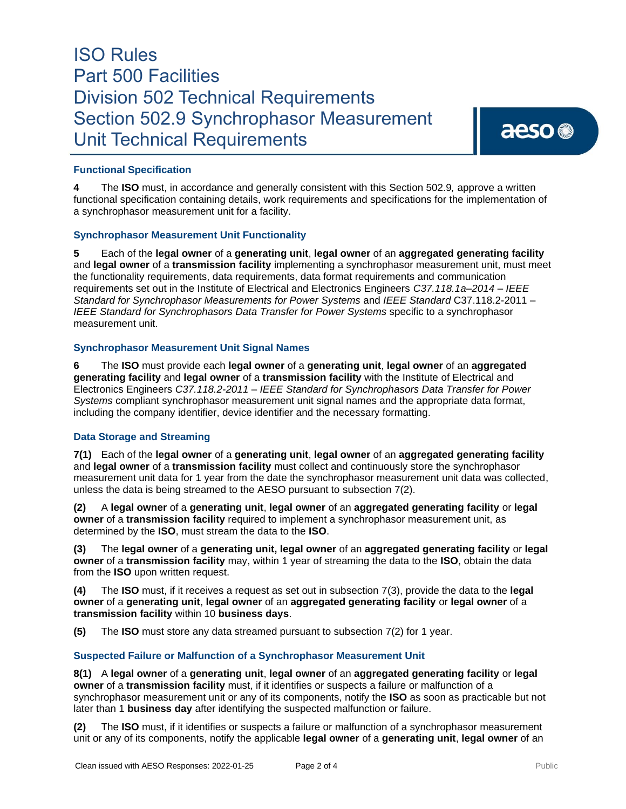### **Functional Specification**

**4** The **ISO** must, in accordance and generally consistent with this Section 502.9*,* approve a written functional specification containing details, work requirements and specifications for the implementation of a synchrophasor measurement unit for a facility.

#### **Synchrophasor Measurement Unit Functionality**

**5** Each of the **legal owner** of a **generating unit**, **legal owner** of an **aggregated generating facility** and **legal owner** of a **transmission facility** implementing a synchrophasor measurement unit, must meet the functionality requirements, data requirements, data format requirements and communication requirements set out in the Institute of Electrical and Electronics Engineers *C37.118.1a–2014 – IEEE Standard for Synchrophasor Measurements for Power Systems* and *IEEE Standard* C37.118.2-2011 – *IEEE Standard for Synchrophasors Data Transfer for Power Systems* specific to a synchrophasor measurement unit.

#### **Synchrophasor Measurement Unit Signal Names**

**6** The **ISO** must provide each **legal owner** of a **generating unit**, **legal owner** of an **aggregated generating facility** and **legal owner** of a **transmission facility** with the Institute of Electrical and Electronics Engineers *C37.118.2-2011 – IEEE Standard for Synchrophasors Data Transfer for Power Systems* compliant synchrophasor measurement unit signal names and the appropriate data format, including the company identifier, device identifier and the necessary formatting.

#### **Data Storage and Streaming**

**7(1)** Each of the **legal owner** of a **generating unit**, **legal owner** of an **aggregated generating facility** and **legal owner** of a **transmission facility** must collect and continuously store the synchrophasor measurement unit data for 1 year from the date the synchrophasor measurement unit data was collected, unless the data is being streamed to the AESO pursuant to subsection 7(2).

**(2)** A **legal owner** of a **generating unit**, **legal owner** of an **aggregated generating facility** or **legal owner** of a **transmission facility** required to implement a synchrophasor measurement unit, as determined by the **ISO**, must stream the data to the **ISO**.

**(3)** The **legal owner** of a **generating unit, legal owner** of an **aggregated generating facility** or **legal owner** of a **transmission facility** may, within 1 year of streaming the data to the **ISO**, obtain the data from the **ISO** upon written request.

**(4)** The **ISO** must, if it receives a request as set out in subsection 7(3), provide the data to the **legal owner** of a **generating unit**, **legal owner** of an **aggregated generating facility** or **legal owner** of a **transmission facility** within 10 **business days**.

**(5)** The **ISO** must store any data streamed pursuant to subsection 7(2) for 1 year.

#### **Suspected Failure or Malfunction of a Synchrophasor Measurement Unit**

**8(1)** A **legal owner** of a **generating unit**, **legal owner** of an **aggregated generating facility** or **legal owner** of a **transmission facility** must, if it identifies or suspects a failure or malfunction of a synchrophasor measurement unit or any of its components, notify the **ISO** as soon as practicable but not later than 1 **business day** after identifying the suspected malfunction or failure.

**(2)** The **ISO** must, if it identifies or suspects a failure or malfunction of a synchrophasor measurement unit or any of its components, notify the applicable **legal owner** of a **generating unit**, **legal owner** of an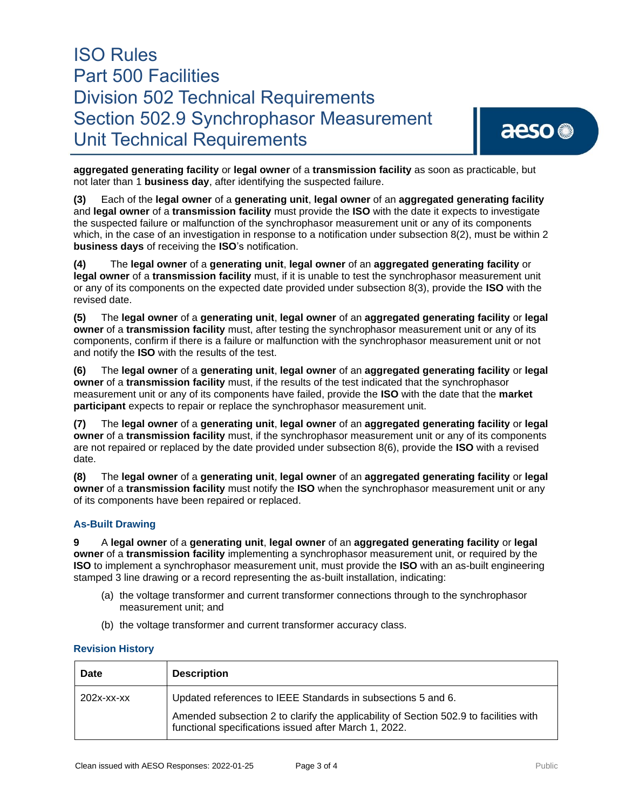**aggregated generating facility** or **legal owner** of a **transmission facility** as soon as practicable, but not later than 1 **business day**, after identifying the suspected failure.

**(3)** Each of the **legal owner** of a **generating unit**, **legal owner** of an **aggregated generating facility** and **legal owner** of a **transmission facility** must provide the **ISO** with the date it expects to investigate the suspected failure or malfunction of the synchrophasor measurement unit or any of its components which, in the case of an investigation in response to a notification under subsection 8(2), must be within 2 **business days** of receiving the **ISO**'s notification.

**(4)** The **legal owner** of a **generating unit**, **legal owner** of an **aggregated generating facility** or **legal owner** of a **transmission facility** must, if it is unable to test the synchrophasor measurement unit or any of its components on the expected date provided under subsection 8(3), provide the **ISO** with the revised date.

**(5)** The **legal owner** of a **generating unit**, **legal owner** of an **aggregated generating facility** or **legal owner** of a **transmission facility** must, after testing the synchrophasor measurement unit or any of its components, confirm if there is a failure or malfunction with the synchrophasor measurement unit or not and notify the **ISO** with the results of the test.

**(6)** The **legal owner** of a **generating unit**, **legal owner** of an **aggregated generating facility** or **legal owner** of a **transmission facility** must, if the results of the test indicated that the synchrophasor measurement unit or any of its components have failed, provide the **ISO** with the date that the **market participant** expects to repair or replace the synchrophasor measurement unit.

**(7)** The **legal owner** of a **generating unit**, **legal owner** of an **aggregated generating facility** or **legal owner** of a **transmission facility** must, if the synchrophasor measurement unit or any of its components are not repaired or replaced by the date provided under subsection 8(6), provide the **ISO** with a revised date.

**(8)** The **legal owner** of a **generating unit**, **legal owner** of an **aggregated generating facility** or **legal owner** of a **transmission facility** must notify the **ISO** when the synchrophasor measurement unit or any of its components have been repaired or replaced.

### **As-Built Drawing**

**9** A **legal owner** of a **generating unit**, **legal owner** of an **aggregated generating facility** or **legal owner** of a **transmission facility** implementing a synchrophasor measurement unit, or required by the **ISO** to implement a synchrophasor measurement unit, must provide the **ISO** with an as-built engineering stamped 3 line drawing or a record representing the as-built installation, indicating:

- (a) the voltage transformer and current transformer connections through to the synchrophasor measurement unit; and
- (b) the voltage transformer and current transformer accuracy class.

#### **Revision History**

| Date       | <b>Description</b>                                                                                                                                                                                             |
|------------|----------------------------------------------------------------------------------------------------------------------------------------------------------------------------------------------------------------|
| 202x-xx-xx | Updated references to IEEE Standards in subsections 5 and 6.<br>Amended subsection 2 to clarify the applicability of Section 502.9 to facilities with<br>functional specifications issued after March 1, 2022. |